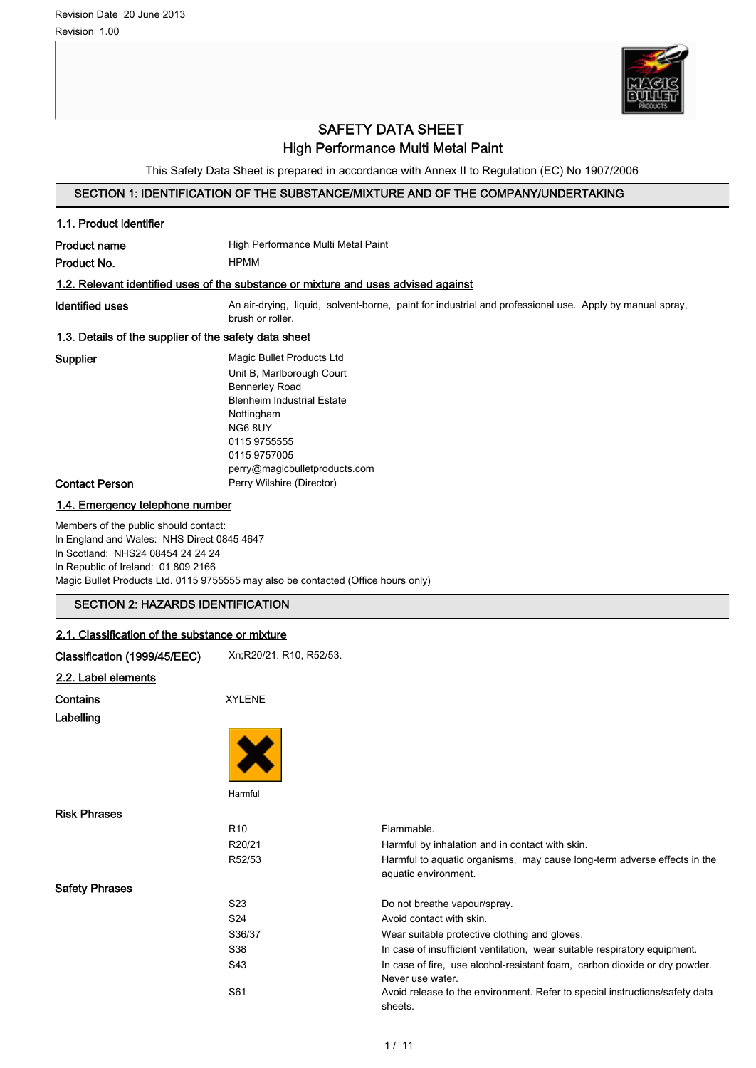Safety Phrases



## SAFETY DATA SHEET High Performance Multi Metal Paint

This Safety Data Sheet is prepared in accordance with Annex II to Regulation (EC) No 1907/2006

## SECTION 1: IDENTIFICATION OF THE SUBSTANCE/MIXTURE AND OF THE COMPANY/UNDERTAKING

| 1.1. Product identifier                                                                                                                                         |                                                                                                                                                                                                                |                                                               |  |
|-----------------------------------------------------------------------------------------------------------------------------------------------------------------|----------------------------------------------------------------------------------------------------------------------------------------------------------------------------------------------------------------|---------------------------------------------------------------|--|
| <b>Product name</b>                                                                                                                                             | High Performance Multi Metal Paint                                                                                                                                                                             |                                                               |  |
| Product No.                                                                                                                                                     | <b>HPMM</b>                                                                                                                                                                                                    |                                                               |  |
|                                                                                                                                                                 | 1.2. Relevant identified uses of the substance or mixture and uses advised against                                                                                                                             |                                                               |  |
| Identified uses                                                                                                                                                 | An air-drying, liquid, solvent-borne, paint for industrial and professional use. Apply by manual spray,<br>brush or roller.                                                                                    |                                                               |  |
| 1.3. Details of the supplier of the safety data sheet                                                                                                           |                                                                                                                                                                                                                |                                                               |  |
| Supplier                                                                                                                                                        | Magic Bullet Products Ltd<br>Unit B, Marlborough Court<br><b>Bennerley Road</b><br><b>Blenheim Industrial Estate</b><br>Nottingham<br>NG6 8UY<br>0115 9755555<br>0115 9757005<br>perry@magicbulletproducts.com |                                                               |  |
| <b>Contact Person</b>                                                                                                                                           | Perry Wilshire (Director)                                                                                                                                                                                      |                                                               |  |
| 1.4. Emergency telephone number                                                                                                                                 |                                                                                                                                                                                                                |                                                               |  |
| Members of the public should contact:<br>In England and Wales: NHS Direct 0845 4647<br>In Scotland: NHS24 08454 24 24 24<br>In Republic of Ireland: 01 809 2166 | Magic Bullet Products Ltd. 0115 9755555 may also be contacted (Office hours only)                                                                                                                              |                                                               |  |
| <b>SECTION 2: HAZARDS IDENTIFICATION</b>                                                                                                                        |                                                                                                                                                                                                                |                                                               |  |
| 2.1. Classification of the substance or mixture                                                                                                                 |                                                                                                                                                                                                                |                                                               |  |
| Classification (1999/45/EEC)                                                                                                                                    | Xn, R20/21. R10, R52/53.                                                                                                                                                                                       |                                                               |  |
| 2.2. Label elements                                                                                                                                             |                                                                                                                                                                                                                |                                                               |  |
| Contains                                                                                                                                                        | <b>XYLENE</b>                                                                                                                                                                                                  |                                                               |  |
| Labelling                                                                                                                                                       |                                                                                                                                                                                                                |                                                               |  |
|                                                                                                                                                                 |                                                                                                                                                                                                                |                                                               |  |
|                                                                                                                                                                 | Harmful                                                                                                                                                                                                        |                                                               |  |
| <b>Risk Phrases</b>                                                                                                                                             |                                                                                                                                                                                                                |                                                               |  |
|                                                                                                                                                                 | R <sub>10</sub><br>R20/21                                                                                                                                                                                      | Flammable.<br>Harmful by inhalation and in contact with skin. |  |

R52/53 Harmful to aquatic organisms, may cause long-term adverse effects in the aquatic environment.

S23 Do not breathe vapour/spray. S24 Avoid contact with skin. S36/37 Wear suitable protective clothing and gloves. S38 In case of insufficient ventilation, wear suitable respiratory equipment. S43 In case of fire, use alcohol-resistant foam, carbon dioxide or dry powder. Never use water. S61 Avoid release to the environment. Refer to special instructions/safety data sheets.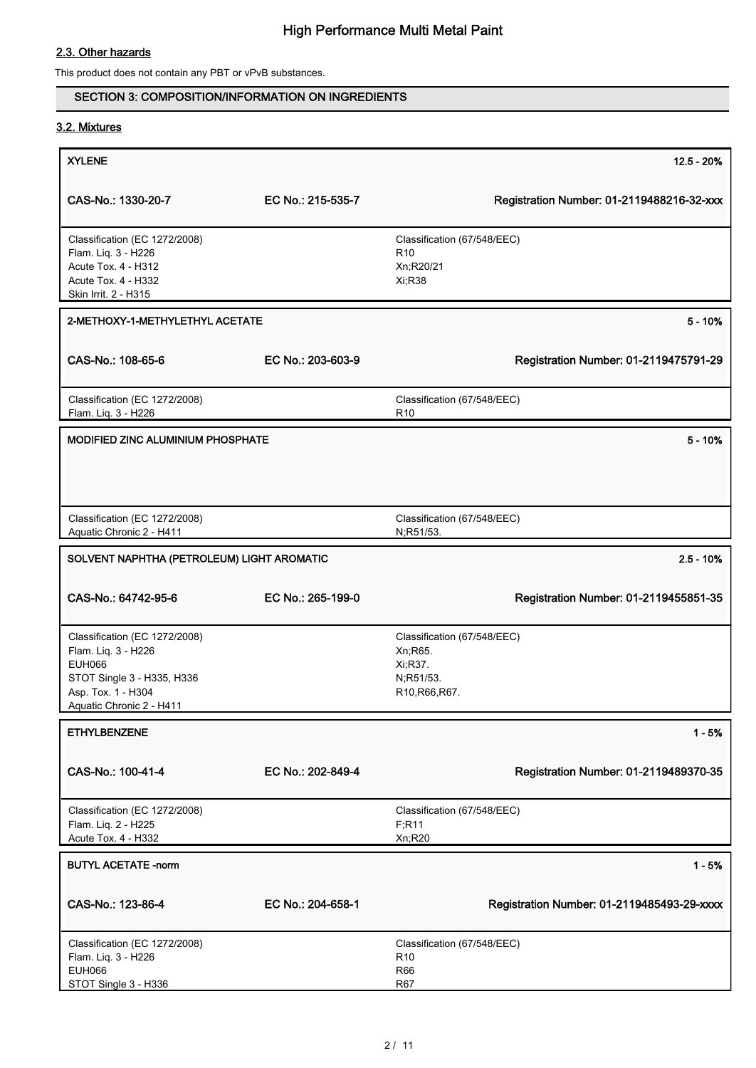## 2.3. Other hazards

This product does not contain any PBT or vPvB substances.

## SECTION 3: COMPOSITION/INFORMATION ON INGREDIENTS

## 3.2. Mixtures

| <b>XYLENE</b>                                                                                                                                         |                   | $12.5 - 20%$                                                                                                              |
|-------------------------------------------------------------------------------------------------------------------------------------------------------|-------------------|---------------------------------------------------------------------------------------------------------------------------|
|                                                                                                                                                       |                   |                                                                                                                           |
| CAS-No.: 1330-20-7                                                                                                                                    | EC No.: 215-535-7 | Registration Number: 01-2119488216-32-xxx                                                                                 |
| Classification (EC 1272/2008)<br>Flam. Liq. 3 - H226<br>Acute Tox. 4 - H312<br>Acute Tox. 4 - H332<br>Skin Irrit. 2 - H315                            |                   | Classification (67/548/EEC)<br>R <sub>10</sub><br>Xn;R20/21<br>Xi, R38                                                    |
| 2-METHOXY-1-METHYLETHYL ACETATE                                                                                                                       |                   | $5 - 10%$                                                                                                                 |
| CAS-No.: 108-65-6                                                                                                                                     | EC No.: 203-603-9 | Registration Number: 01-2119475791-29                                                                                     |
| Classification (EC 1272/2008)<br>Flam. Liq. 3 - H226                                                                                                  |                   | Classification (67/548/EEC)<br>R <sub>10</sub>                                                                            |
| MODIFIED ZINC ALUMINIUM PHOSPHATE                                                                                                                     |                   | $5 - 10%$                                                                                                                 |
|                                                                                                                                                       |                   |                                                                                                                           |
| Classification (EC 1272/2008)<br>Aquatic Chronic 2 - H411                                                                                             |                   | Classification (67/548/EEC)<br>N;R51/53.                                                                                  |
| SOLVENT NAPHTHA (PETROLEUM) LIGHT AROMATIC                                                                                                            |                   | $2.5 - 10%$                                                                                                               |
| CAS-No.: 64742-95-6                                                                                                                                   | EC No.: 265-199-0 | Registration Number: 01-2119455851-35                                                                                     |
| Classification (EC 1272/2008)<br>Flam. Liq. 3 - H226<br><b>EUH066</b><br>STOT Single 3 - H335, H336<br>Asp. Tox. 1 - H304<br>Aquatic Chronic 2 - H411 |                   | Classification (67/548/EEC)<br>Xn; R65.<br>Xi, R37.<br>N;R51/53.<br>R <sub>10</sub> , R <sub>66</sub> , R <sub>67</sub> . |
| <b>ETHYLBENZENE</b>                                                                                                                                   |                   | $1 - 5%$                                                                                                                  |
| CAS-No.: 100-41-4                                                                                                                                     | EC No.: 202-849-4 | Registration Number: 01-2119489370-35                                                                                     |
| Classification (EC 1272/2008)<br>Flam. Liq. 2 - H225<br>Acute Tox. 4 - H332                                                                           |                   | Classification (67/548/EEC)<br>F; R11<br>Xn;R20                                                                           |
| <b>BUTYL ACETATE -norm</b>                                                                                                                            |                   | $1 - 5%$                                                                                                                  |
| CAS-No.: 123-86-4                                                                                                                                     | EC No.: 204-658-1 | Registration Number: 01-2119485493-29-xxxx                                                                                |
| Classification (EC 1272/2008)<br>Flam. Liq. 3 - H226<br><b>EUH066</b><br>STOT Single 3 - H336                                                         |                   | Classification (67/548/EEC)<br>R <sub>10</sub><br><b>R66</b><br>R67                                                       |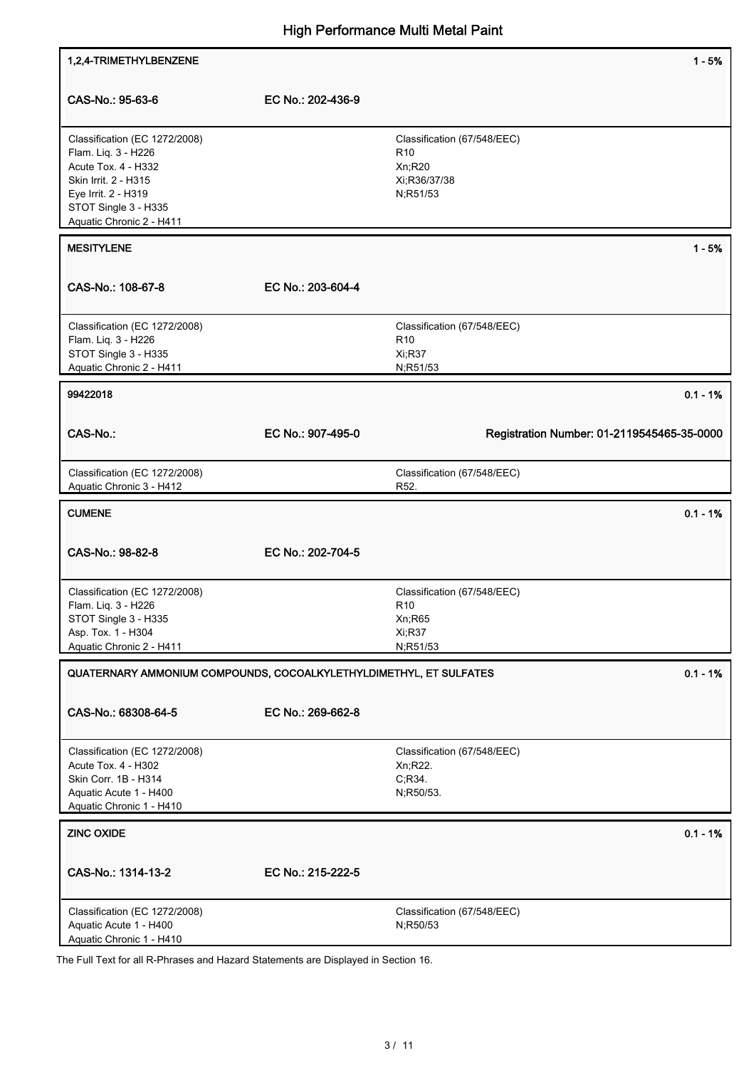| 1,2,4-TRIMETHYLBENZENE                                                                                                                                                         |                   | $1 - 5%$                                                                                 |
|--------------------------------------------------------------------------------------------------------------------------------------------------------------------------------|-------------------|------------------------------------------------------------------------------------------|
| CAS-No.: 95-63-6                                                                                                                                                               | EC No.: 202-436-9 |                                                                                          |
| Classification (EC 1272/2008)<br>Flam. Liq. 3 - H226<br>Acute Tox. 4 - H332<br>Skin Irrit. 2 - H315<br>Eye Irrit. 2 - H319<br>STOT Single 3 - H335<br>Aquatic Chronic 2 - H411 |                   | Classification (67/548/EEC)<br>R <sub>10</sub><br>$Xn$ ; R20<br>Xi;R36/37/38<br>N;R51/53 |
| <b>MESITYLENE</b>                                                                                                                                                              |                   | $1 - 5%$                                                                                 |
| CAS-No.: 108-67-8                                                                                                                                                              | EC No.: 203-604-4 |                                                                                          |
| Classification (EC 1272/2008)<br>Flam. Liq. 3 - H226<br>STOT Single 3 - H335<br>Aquatic Chronic 2 - H411                                                                       |                   | Classification (67/548/EEC)<br>R <sub>10</sub><br><b>Xi:R37</b><br>N;R51/53              |
| 99422018                                                                                                                                                                       |                   | $0.1 - 1%$                                                                               |
| CAS-No.:                                                                                                                                                                       | EC No.: 907-495-0 | Registration Number: 01-2119545465-35-0000                                               |
| Classification (EC 1272/2008)<br>Aquatic Chronic 3 - H412                                                                                                                      |                   | Classification (67/548/EEC)<br>R <sub>52</sub> .                                         |
| <b>CUMENE</b>                                                                                                                                                                  |                   | $0.1 - 1%$                                                                               |
| CAS-No.: 98-82-8                                                                                                                                                               | EC No.: 202-704-5 |                                                                                          |
| Classification (EC 1272/2008)<br>Flam. Liq. 3 - H226<br>STOT Single 3 - H335<br>Asp. Tox. 1 - H304<br>Aquatic Chronic 2 - H411                                                 |                   | Classification (67/548/EEC)<br>R <sub>10</sub><br>Xn;R65<br>Xi;R37<br>N;R51/53           |
| QUATERNARY AMMONIUM COMPOUNDS, COCOALKYLETHYLDIMETHYL, ET SULFATES                                                                                                             |                   | $0.1 - 1%$                                                                               |
| CAS-No.: 68308-64-5                                                                                                                                                            | EC No.: 269-662-8 |                                                                                          |
| Classification (EC 1272/2008)<br>Acute Tox. 4 - H302<br>Skin Corr. 1B - H314<br>Aquatic Acute 1 - H400<br>Aquatic Chronic 1 - H410                                             |                   | Classification (67/548/EEC)<br>Xn;R22.<br>C, R34.<br>N;R50/53.                           |
|                                                                                                                                                                                |                   |                                                                                          |
| <b>ZINC OXIDE</b>                                                                                                                                                              |                   | $0.1 - 1%$                                                                               |
| CAS-No.: 1314-13-2                                                                                                                                                             | EC No.: 215-222-5 |                                                                                          |

The Full Text for all R-Phrases and Hazard Statements are Displayed in Section 16.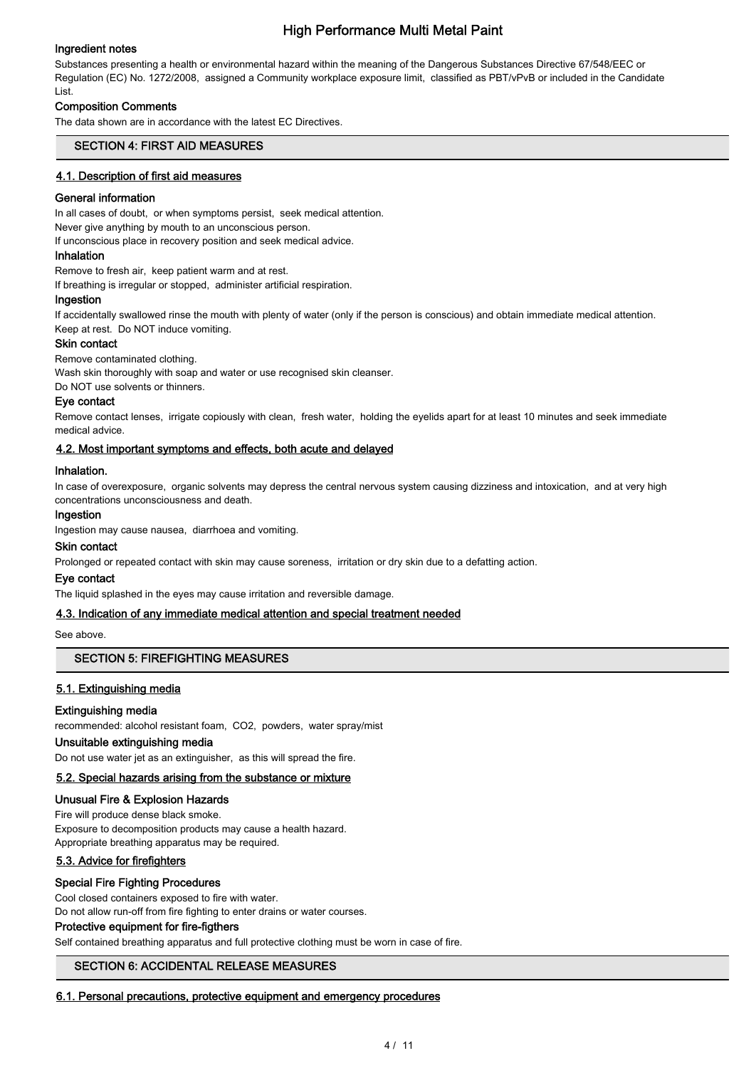## Ingredient notes

Substances presenting a health or environmental hazard within the meaning of the Dangerous Substances Directive 67/548/EEC or Regulation (EC) No. 1272/2008, assigned a Community workplace exposure limit, classified as PBT/vPvB or included in the Candidate List.

### Composition Comments

The data shown are in accordance with the latest EC Directives.

## SECTION 4: FIRST AID MEASURES

#### 4.1. Description of first aid measures

#### General information

In all cases of doubt, or when symptoms persist, seek medical attention.

Never give anything by mouth to an unconscious person.

If unconscious place in recovery position and seek medical advice.

#### Inhalation

Remove to fresh air, keep patient warm and at rest. If breathing is irregular or stopped, administer artificial respiration.

#### Ingestion

If accidentally swallowed rinse the mouth with plenty of water (only if the person is conscious) and obtain immediate medical attention. Keep at rest. Do NOT induce vomiting.

#### Skin contact

Remove contaminated clothing.

Wash skin thoroughly with soap and water or use recognised skin cleanser.

Do NOT use solvents or thinners.

#### Eye contact

Remove contact lenses, irrigate copiously with clean, fresh water, holding the eyelids apart for at least 10 minutes and seek immediate medical advice.

#### 4.2. Most important symptoms and effects, both acute and delayed

#### Inhalation.

In case of overexposure, organic solvents may depress the central nervous system causing dizziness and intoxication, and at very high concentrations unconsciousness and death.

#### Ingestion

Ingestion may cause nausea, diarrhoea and vomiting.

#### Skin contact

Prolonged or repeated contact with skin may cause soreness, irritation or dry skin due to a defatting action.

#### Eye contact

The liquid splashed in the eyes may cause irritation and reversible damage.

#### 4.3. Indication of any immediate medical attention and special treatment needed

See above.

## SECTION 5: FIREFIGHTING MEASURES

## 5.1. Extinguishing media

#### Extinguishing media

recommended: alcohol resistant foam, CO2, powders, water spray/mist

## Unsuitable extinguishing media

Do not use water jet as an extinguisher, as this will spread the fire.

## 5.2. Special hazards arising from the substance or mixture

Unusual Fire & Explosion Hazards

Fire will produce dense black smoke. Exposure to decomposition products may cause a health hazard. Appropriate breathing apparatus may be required.

## 5.3. Advice for firefighters

## Special Fire Fighting Procedures

Cool closed containers exposed to fire with water.

Do not allow run-off from fire fighting to enter drains or water courses.

## Protective equipment for fire-figthers

Self contained breathing apparatus and full protective clothing must be worn in case of fire.

## SECTION 6: ACCIDENTAL RELEASE MEASURES

#### 6.1. Personal precautions, protective equipment and emergency procedures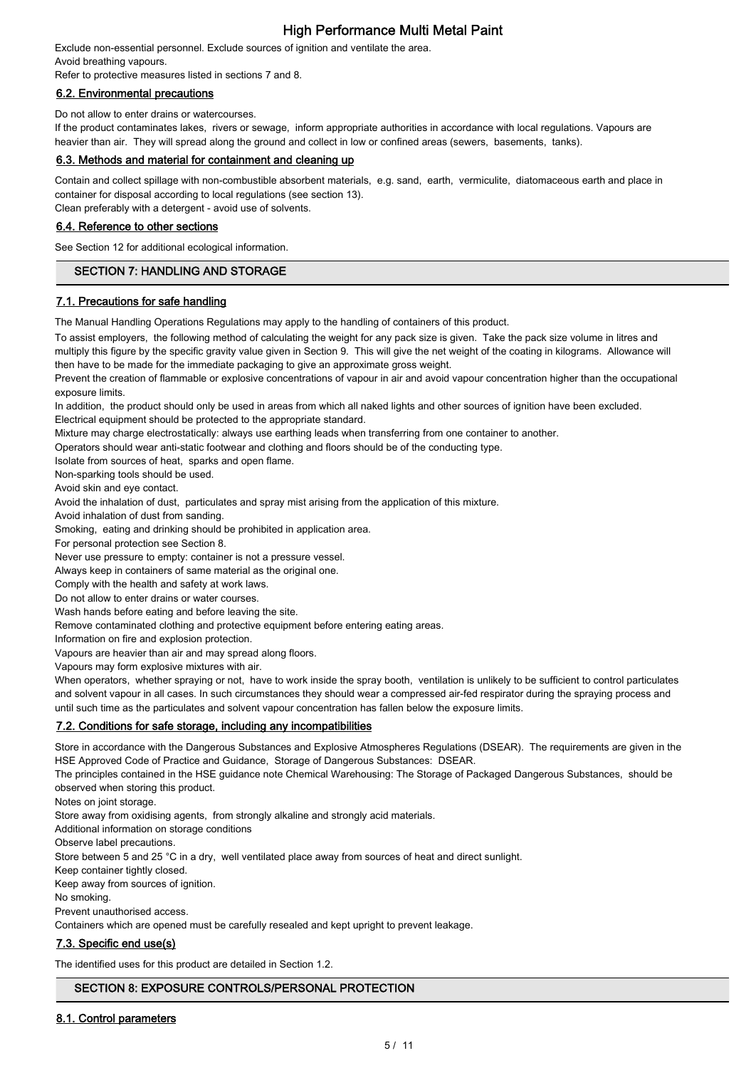Exclude non-essential personnel. Exclude sources of ignition and ventilate the area. Avoid breathing vapours.

Refer to protective measures listed in sections 7 and 8.

### 6.2. Environmental precautions

Do not allow to enter drains or watercourses.

If the product contaminates lakes, rivers or sewage, inform appropriate authorities in accordance with local regulations. Vapours are heavier than air. They will spread along the ground and collect in low or confined areas (sewers, basements, tanks).

#### 6.3. Methods and material for containment and cleaning up

Contain and collect spillage with non-combustible absorbent materials, e.g. sand, earth, vermiculite, diatomaceous earth and place in container for disposal according to local regulations (see section 13).

Clean preferably with a detergent - avoid use of solvents.

#### 6.4. Reference to other sections

See Section 12 for additional ecological information.

## SECTION 7: HANDLING AND STORAGE

#### 7.1. Precautions for safe handling

The Manual Handling Operations Regulations may apply to the handling of containers of this product.

To assist employers, the following method of calculating the weight for any pack size is given. Take the pack size volume in litres and multiply this figure by the specific gravity value given in Section 9. This will give the net weight of the coating in kilograms. Allowance will then have to be made for the immediate packaging to give an approximate gross weight.

Prevent the creation of flammable or explosive concentrations of vapour in air and avoid vapour concentration higher than the occupational exposure limits.

In addition, the product should only be used in areas from which all naked lights and other sources of ignition have been excluded. Electrical equipment should be protected to the appropriate standard.

Mixture may charge electrostatically: always use earthing leads when transferring from one container to another.

Operators should wear anti-static footwear and clothing and floors should be of the conducting type.

Isolate from sources of heat, sparks and open flame.

Non-sparking tools should be used.

Avoid skin and eye contact.

Avoid the inhalation of dust, particulates and spray mist arising from the application of this mixture.

Avoid inhalation of dust from sanding.

Smoking, eating and drinking should be prohibited in application area.

For personal protection see Section 8.

Never use pressure to empty: container is not a pressure vessel.

Always keep in containers of same material as the original one.

Comply with the health and safety at work laws.

Do not allow to enter drains or water courses.

Wash hands before eating and before leaving the site.

Remove contaminated clothing and protective equipment before entering eating areas.

Information on fire and explosion protection.

Vapours are heavier than air and may spread along floors.

Vapours may form explosive mixtures with air.

When operators, whether spraying or not, have to work inside the spray booth, ventilation is unlikely to be sufficient to control particulates and solvent vapour in all cases. In such circumstances they should wear a compressed air-fed respirator during the spraying process and until such time as the particulates and solvent vapour concentration has fallen below the exposure limits.

## 7.2. Conditions for safe storage, including any incompatibilities

Store in accordance with the Dangerous Substances and Explosive Atmospheres Regulations (DSEAR). The requirements are given in the HSE Approved Code of Practice and Guidance, Storage of Dangerous Substances: DSEAR.

The principles contained in the HSE guidance note Chemical Warehousing: The Storage of Packaged Dangerous Substances, should be observed when storing this product.

Notes on joint storage.

Store away from oxidising agents, from strongly alkaline and strongly acid materials.

Additional information on storage conditions

Observe label precautions.

Store between 5 and 25 °C in a dry, well ventilated place away from sources of heat and direct sunlight.

Keep container tightly closed.

Keep away from sources of ignition.

No smoking.

Prevent unauthorised access.

Containers which are opened must be carefully resealed and kept upright to prevent leakage.

## 7.3. Specific end use(s)

The identified uses for this product are detailed in Section 1.2.

## SECTION 8: EXPOSURE CONTROLS/PERSONAL PROTECTION

#### 8.1. Control parameters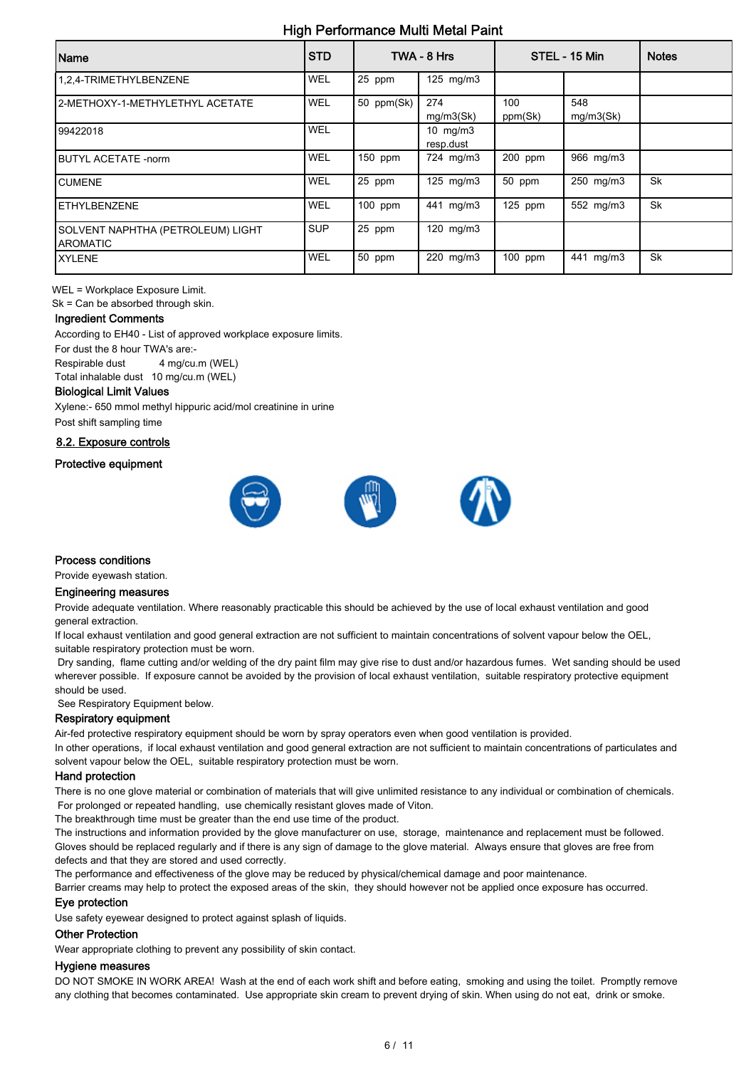| Name                                                  | <b>STD</b> |            | TWA - 8 Hrs             |                | STEL - 15 Min    | <b>Notes</b> |
|-------------------------------------------------------|------------|------------|-------------------------|----------------|------------------|--------------|
| 1,2,4-TRIMETHYLBENZENE                                | WEL        | 25 ppm     | $125 \text{ mg/m}$      |                |                  |              |
| 2-METHOXY-1-METHYLETHYL ACETATE                       | WEL        | 50 ppm(Sk) | 274<br>mg/m3(Sk)        | 100<br>ppm(Sk) | 548<br>mg/m3(Sk) |              |
| 99422018                                              | WEL        |            | 10 $mg/m3$<br>resp.dust |                |                  |              |
| <b>IBUTYL ACETATE -norm</b>                           | <b>WEL</b> | 150 ppm    | 724 mg/m3               | 200 ppm        | 966 mg/m3        |              |
| <b>ICUMENE</b>                                        | WEL        | 25 ppm     | 125 $mg/m3$             | 50 ppm         | 250 mg/m3        | Sk           |
| <b>IETHYLBENZENE</b>                                  | WEL        | 100 ppm    | 441 mg/m3               | $125$ ppm      | 552 mg/m3        | <b>Sk</b>    |
| SOLVENT NAPHTHA (PETROLEUM) LIGHT<br><b>IAROMATIC</b> | <b>SUP</b> | 25 ppm     | $120$ mg/m $3$          |                |                  |              |
| <b>IXYLENE</b>                                        | <b>WEL</b> | 50 ppm     | 220 mg/m3               | 100 ppm        | 441 mg/m3        | Sk           |

WEL = Workplace Exposure Limit.

Sk = Can be absorbed through skin.

#### Ingredient Comments

According to EH40 - List of approved workplace exposure limits. For dust the 8 hour TWA's are:- Respirable dust 4 mg/cu.m (WEL)

Total inhalable dust 10 mg/cu.m (WEL)

## Biological Limit Values

Xylene:- 650 mmol methyl hippuric acid/mol creatinine in urine Post shift sampling time

8.2. Exposure controls

#### Protective equipment



#### Process conditions

Provide eyewash station.

### Engineering measures

Provide adequate ventilation. Where reasonably practicable this should be achieved by the use of local exhaust ventilation and good general extraction.

If local exhaust ventilation and good general extraction are not sufficient to maintain concentrations of solvent vapour below the OEL, suitable respiratory protection must be worn.

 Dry sanding, flame cutting and/or welding of the dry paint film may give rise to dust and/or hazardous fumes. Wet sanding should be used wherever possible. If exposure cannot be avoided by the provision of local exhaust ventilation, suitable respiratory protective equipment should be used.

See Respiratory Equipment below.

#### Respiratory equipment

Air-fed protective respiratory equipment should be worn by spray operators even when good ventilation is provided.

In other operations, if local exhaust ventilation and good general extraction are not sufficient to maintain concentrations of particulates and solvent vapour below the OEL, suitable respiratory protection must be worn.

#### Hand protection

There is no one glove material or combination of materials that will give unlimited resistance to any individual or combination of chemicals. For prolonged or repeated handling, use chemically resistant gloves made of Viton.

The breakthrough time must be greater than the end use time of the product.

The instructions and information provided by the glove manufacturer on use, storage, maintenance and replacement must be followed. Gloves should be replaced regularly and if there is any sign of damage to the glove material. Always ensure that gloves are free from defects and that they are stored and used correctly.

The performance and effectiveness of the glove may be reduced by physical/chemical damage and poor maintenance.

Barrier creams may help to protect the exposed areas of the skin, they should however not be applied once exposure has occurred.

#### Eye protection

Use safety eyewear designed to protect against splash of liquids.

#### Other Protection

Wear appropriate clothing to prevent any possibility of skin contact.

#### Hygiene measures

DO NOT SMOKE IN WORK AREA! Wash at the end of each work shift and before eating, smoking and using the toilet. Promptly remove any clothing that becomes contaminated. Use appropriate skin cream to prevent drying of skin. When using do not eat, drink or smoke.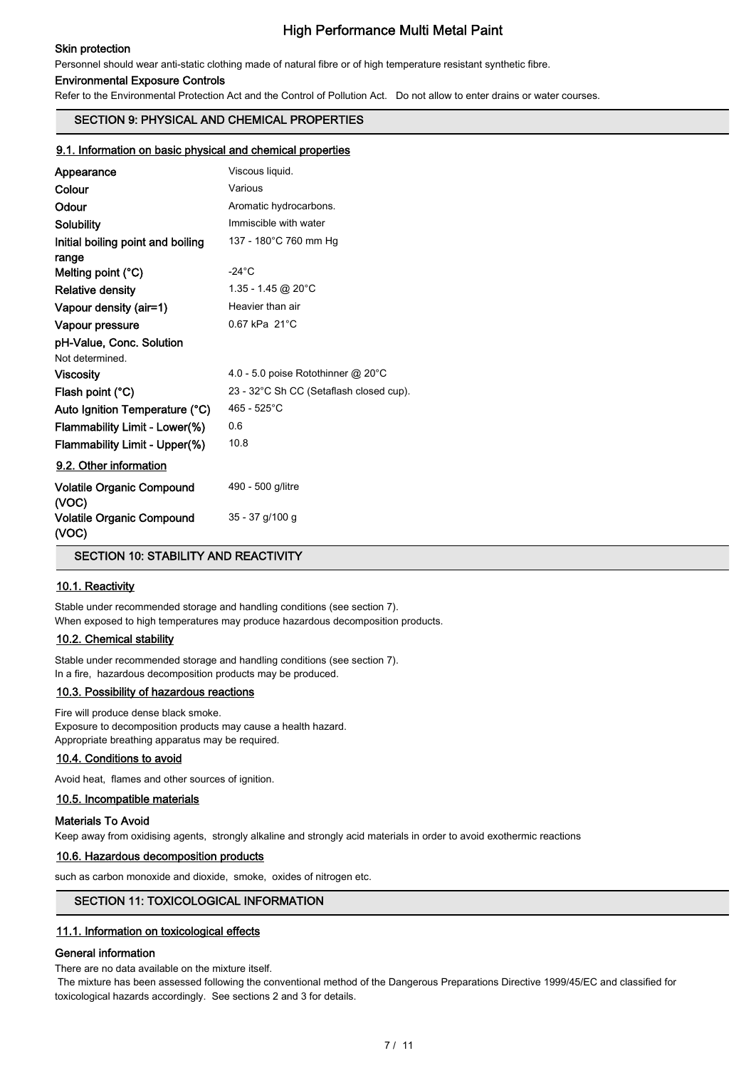### Skin protection

## High Performance Multi Metal Paint

Personnel should wear anti-static clothing made of natural fibre or of high temperature resistant synthetic fibre.

#### Environmental Exposure Controls

Refer to the Environmental Protection Act and the Control of Pollution Act. Do not allow to enter drains or water courses.

## SECTION 9: PHYSICAL AND CHEMICAL PROPERTIES

#### 9.1. Information on basic physical and chemical properties

| Appearance                                 | Viscous liquid.                         |
|--------------------------------------------|-----------------------------------------|
| Colour                                     | Various                                 |
| Odour                                      | Aromatic hydrocarbons.                  |
| Solubility                                 | Immiscible with water                   |
| Initial boiling point and boiling<br>range | 137 - 180°C 760 mm Hg                   |
| Melting point (°C)                         | $-24^\circ C$                           |
| <b>Relative density</b>                    | $1.35 - 1.45$ @ 20°C                    |
| Vapour density (air=1)                     | Heavier than air                        |
| Vapour pressure                            | $0.67$ kPa $21^{\circ}$ C               |
| pH-Value, Conc. Solution                   |                                         |
| Not determined.                            |                                         |
| <b>Viscosity</b>                           | 4.0 - 5.0 poise Rotothinner @ 20°C      |
| Flash point (°C)                           | 23 - 32°C Sh CC (Setaflash closed cup). |
| Auto Ignition Temperature (°C)             | 465 - 525°C                             |
| Flammability Limit - Lower(%)              | 0.6                                     |
| Flammability Limit - Upper(%)              | 10.8                                    |
| 9.2. Other information                     |                                         |
| <b>Volatile Organic Compound</b><br>(VOC)  | 490 - 500 g/litre                       |
| Volatile Organic Compound<br>(VOC)         | 35 - 37 g/100 g                         |

SECTION 10: STABILITY AND REACTIVITY

#### 10.1. Reactivity

Stable under recommended storage and handling conditions (see section 7). When exposed to high temperatures may produce hazardous decomposition products.

#### 10.2. Chemical stability

Stable under recommended storage and handling conditions (see section 7). In a fire, hazardous decomposition products may be produced.

#### 10.3. Possibility of hazardous reactions

Fire will produce dense black smoke. Exposure to decomposition products may cause a health hazard. Appropriate breathing apparatus may be required.

#### 10.4. Conditions to avoid

Avoid heat, flames and other sources of ignition.

#### 10.5. Incompatible materials

#### Materials To Avoid

Keep away from oxidising agents, strongly alkaline and strongly acid materials in order to avoid exothermic reactions

#### 10.6. Hazardous decomposition products

such as carbon monoxide and dioxide, smoke, oxides of nitrogen etc.

## SECTION 11: TOXICOLOGICAL INFORMATION

#### 11.1. Information on toxicological effects

#### General information

There are no data available on the mixture itself.

 The mixture has been assessed following the conventional method of the Dangerous Preparations Directive 1999/45/EC and classified for toxicological hazards accordingly. See sections 2 and 3 for details.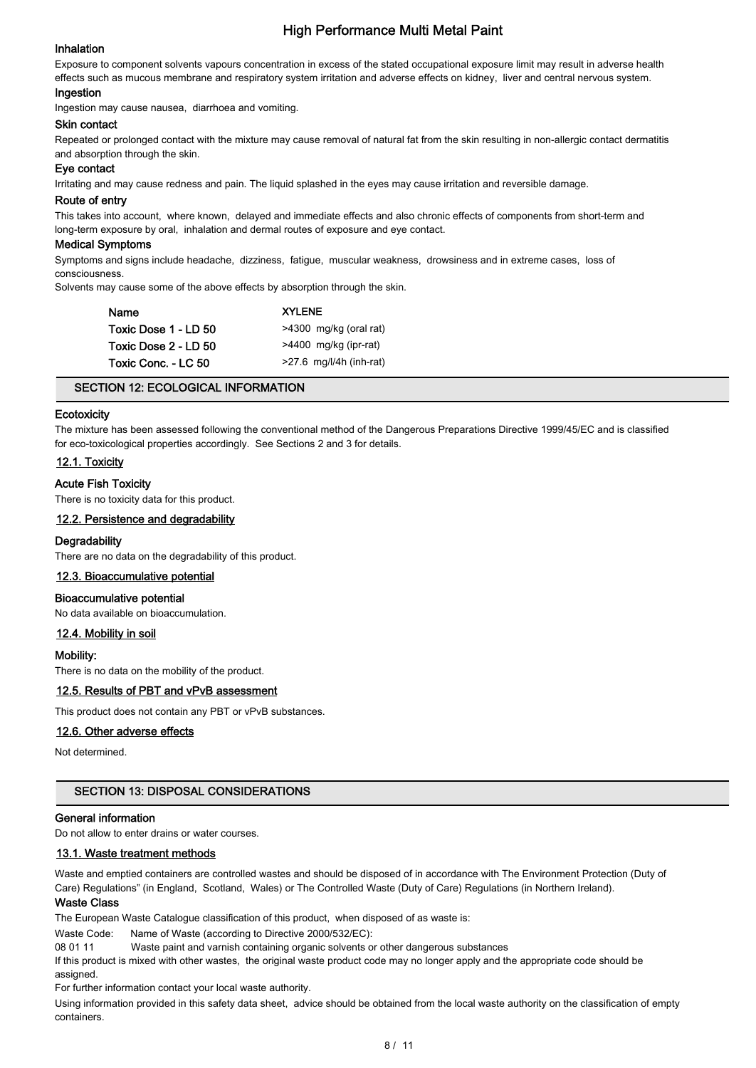#### Inhalation

Exposure to component solvents vapours concentration in excess of the stated occupational exposure limit may result in adverse health effects such as mucous membrane and respiratory system irritation and adverse effects on kidney, liver and central nervous system.

#### Ingestion

Ingestion may cause nausea, diarrhoea and vomiting.

#### Skin contact

Repeated or prolonged contact with the mixture may cause removal of natural fat from the skin resulting in non-allergic contact dermatitis and absorption through the skin.

#### Eye contact

Irritating and may cause redness and pain. The liquid splashed in the eyes may cause irritation and reversible damage.

#### Route of entry

This takes into account, where known, delayed and immediate effects and also chronic effects of components from short-term and long-term exposure by oral, inhalation and dermal routes of exposure and eye contact.

#### Medical Symptoms

Symptoms and signs include headache, dizziness, fatigue, muscular weakness, drowsiness and in extreme cases, loss of consciousness.

Solvents may cause some of the above effects by absorption through the skin.

| Name                 | <b>XYLENE</b>             |
|----------------------|---------------------------|
| Toxic Dose 1 - LD 50 | >4300 mg/kg (oral rat)    |
| Toxic Dose 2 - LD 50 | $>4400$ mg/kg (ipr-rat)   |
| Toxic Conc. - LC 50  | $>27.6$ mg/l/4h (inh-rat) |

#### SECTION 12: ECOLOGICAL INFORMATION

#### **Ecotoxicity**

The mixture has been assessed following the conventional method of the Dangerous Preparations Directive 1999/45/EC and is classified for eco-toxicological properties accordingly. See Sections 2 and 3 for details.

#### 12.1. Toxicity

#### Acute Fish Toxicity

There is no toxicity data for this product.

#### 12.2. Persistence and degradability

#### **Degradability**

There are no data on the degradability of this product.

#### 12.3. Bioaccumulative potential

#### Bioaccumulative potential

No data available on bioaccumulation.

#### 12.4. Mobility in soil

#### Mobility:

There is no data on the mobility of the product.

### 12.5. Results of PBT and vPvB assessment

This product does not contain any PBT or vPvB substances.

#### 12.6. Other adverse effects

Not determined.

#### SECTION 13: DISPOSAL CONSIDERATIONS

## General information

Do not allow to enter drains or water courses.

## 13.1. Waste treatment methods

Waste and emptied containers are controlled wastes and should be disposed of in accordance with The Environment Protection (Duty of Care) Regulations" (in England, Scotland, Wales) or The Controlled Waste (Duty of Care) Regulations (in Northern Ireland).

## Waste Class

The European Waste Catalogue classification of this product, when disposed of as waste is:

Waste Code: Name of Waste (according to Directive 2000/532/EC):

08 01 11 Waste paint and varnish containing organic solvents or other dangerous substances

If this product is mixed with other wastes, the original waste product code may no longer apply and the appropriate code should be assigned.

For further information contact your local waste authority.

Using information provided in this safety data sheet, advice should be obtained from the local waste authority on the classification of empty containers.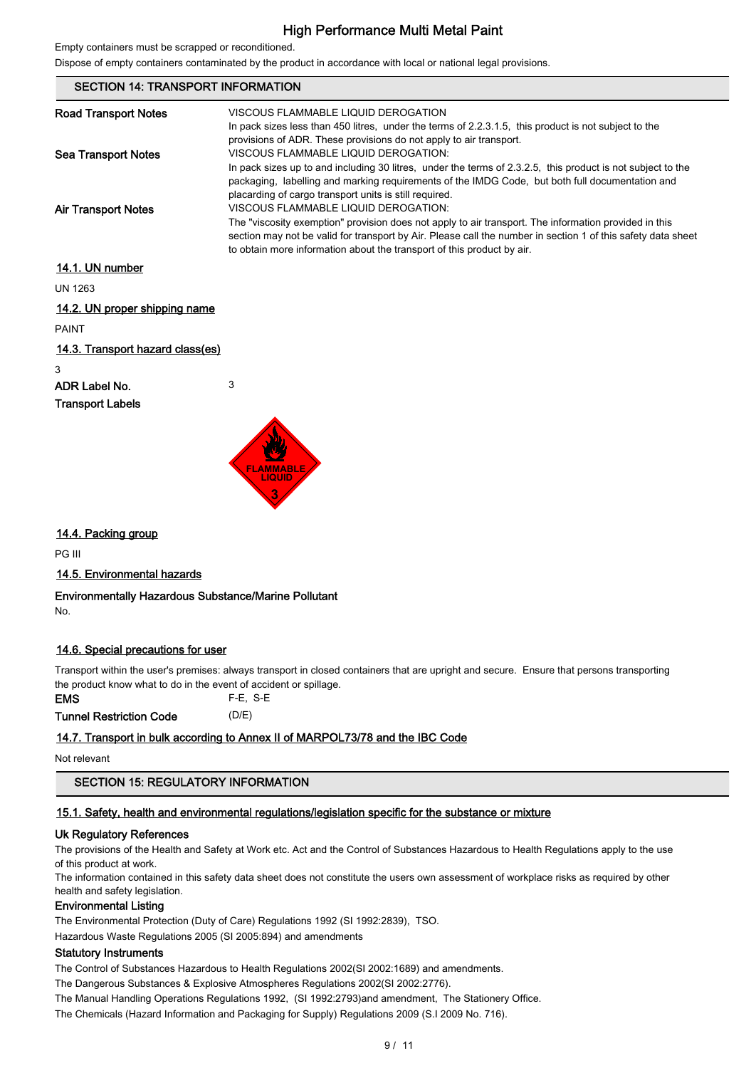Empty containers must be scrapped or reconditioned.

Dispose of empty containers contaminated by the product in accordance with local or national legal provisions.

| <b>SECTION 14: TRANSPORT INFORMATION</b> |                                                                                                                                                                                                                                                                                                                                         |  |  |
|------------------------------------------|-----------------------------------------------------------------------------------------------------------------------------------------------------------------------------------------------------------------------------------------------------------------------------------------------------------------------------------------|--|--|
| <b>Road Transport Notes</b>              | VISCOUS FLAMMABLE LIQUID DEROGATION<br>In pack sizes less than 450 litres, under the terms of 2.2.3.1.5, this product is not subject to the<br>provisions of ADR. These provisions do not apply to air transport.                                                                                                                       |  |  |
| <b>Sea Transport Notes</b>               | VISCOUS FLAMMABLE LIQUID DEROGATION:<br>In pack sizes up to and including 30 litres, under the terms of 2.3.2.5, this product is not subject to the<br>packaging, labelling and marking requirements of the IMDG Code, but both full documentation and<br>placarding of cargo transport units is still required.                        |  |  |
| <b>Air Transport Notes</b>               | VISCOUS FLAMMABLE LIQUID DEROGATION:<br>The "viscosity exemption" provision does not apply to air transport. The information provided in this<br>section may not be valid for transport by Air. Please call the number in section 1 of this safety data sheet<br>to obtain more information about the transport of this product by air. |  |  |
| 14.1. UN number                          |                                                                                                                                                                                                                                                                                                                                         |  |  |
| <b>UN 1263</b>                           |                                                                                                                                                                                                                                                                                                                                         |  |  |
| 14.2. UN proper shipping name            |                                                                                                                                                                                                                                                                                                                                         |  |  |
| <b>PAINT</b>                             |                                                                                                                                                                                                                                                                                                                                         |  |  |
| <u>14.3. Transport hazard class(es)</u>  |                                                                                                                                                                                                                                                                                                                                         |  |  |

3

# ADR Label No. 3





## 14.4. Packing group

PG III

## 14.5. Environmental hazards

Environmentally Hazardous Substance/Marine Pollutant No.

## 14.6. Special precautions for user

Transport within the user's premises: always transport in closed containers that are upright and secure. Ensure that persons transporting the product know what to do in the event of accident or spillage.

EMS F-E, S-E Tunnel Restriction Code (D/E)

## 14.7. Transport in bulk according to Annex II of MARPOL73/78 and the IBC Code

Not relevant

SECTION 15: REGULATORY INFORMATION

## 15.1. Safety, health and environmental regulations/legislation specific for the substance or mixture

## Uk Regulatory References

The provisions of the Health and Safety at Work etc. Act and the Control of Substances Hazardous to Health Regulations apply to the use of this product at work.

The information contained in this safety data sheet does not constitute the users own assessment of workplace risks as required by other health and safety legislation.

## Environmental Listing

The Environmental Protection (Duty of Care) Regulations 1992 (SI 1992:2839), TSO.

Hazardous Waste Regulations 2005 (SI 2005:894) and amendments

## Statutory Instruments

The Control of Substances Hazardous to Health Regulations 2002(SI 2002:1689) and amendments.

The Dangerous Substances & Explosive Atmospheres Regulations 2002(SI 2002:2776).

The Manual Handling Operations Regulations 1992, (SI 1992:2793)and amendment, The Stationery Office.

The Chemicals (Hazard Information and Packaging for Supply) Regulations 2009 (S.I 2009 No. 716).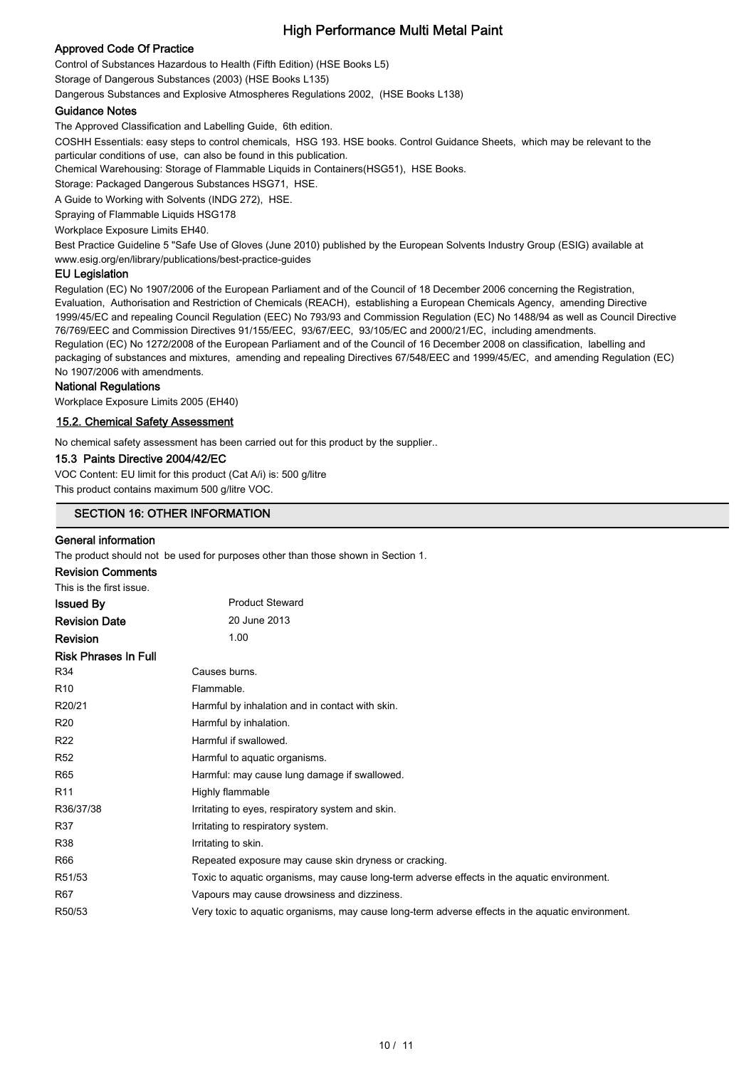## Approved Code Of Practice

Control of Substances Hazardous to Health (Fifth Edition) (HSE Books L5) Storage of Dangerous Substances (2003) (HSE Books L135)

Dangerous Substances and Explosive Atmospheres Regulations 2002, (HSE Books L138)

#### Guidance Notes

The Approved Classification and Labelling Guide, 6th edition.

COSHH Essentials: easy steps to control chemicals, HSG 193. HSE books. Control Guidance Sheets, which may be relevant to the particular conditions of use, can also be found in this publication.

Chemical Warehousing: Storage of Flammable Liquids in Containers(HSG51), HSE Books.

Storage: Packaged Dangerous Substances HSG71, HSE.

A Guide to Working with Solvents (INDG 272), HSE.

Spraying of Flammable Liquids HSG178

Workplace Exposure Limits EH40.

Best Practice Guideline 5 "Safe Use of Gloves (June 2010) published by the European Solvents Industry Group (ESIG) available at www.esig.org/en/library/publications/best-practice-guides

#### EU Legislation

Regulation (EC) No 1907/2006 of the European Parliament and of the Council of 18 December 2006 concerning the Registration, Evaluation, Authorisation and Restriction of Chemicals (REACH), establishing a European Chemicals Agency, amending Directive 1999/45/EC and repealing Council Regulation (EEC) No 793/93 and Commission Regulation (EC) No 1488/94 as well as Council Directive 76/769/EEC and Commission Directives 91/155/EEC, 93/67/EEC, 93/105/EC and 2000/21/EC, including amendments. Regulation (EC) No 1272/2008 of the European Parliament and of the Council of 16 December 2008 on classification, labelling and packaging of substances and mixtures, amending and repealing Directives 67/548/EEC and 1999/45/EC, and amending Regulation (EC) No 1907/2006 with amendments.

#### National Regulations

Workplace Exposure Limits 2005 (EH40)

#### 15.2. Chemical Safety Assessment

No chemical safety assessment has been carried out for this product by the supplier..

#### 15.3 Paints Directive 2004/42/EC

VOC Content: EU limit for this product (Cat A/i) is: 500 g/litre This product contains maximum 500 g/litre VOC.

## SECTION 16: OTHER INFORMATION

#### General information

The product should not be used for purposes other than those shown in Section 1.

| <b>Revision Comments</b>    |                                                                                                  |
|-----------------------------|--------------------------------------------------------------------------------------------------|
| This is the first issue.    |                                                                                                  |
| Issued By                   | <b>Product Steward</b>                                                                           |
| <b>Revision Date</b>        | 20 June 2013                                                                                     |
| Revision                    | 1.00                                                                                             |
| <b>Risk Phrases In Full</b> |                                                                                                  |
| R34                         | Causes burns.                                                                                    |
| R10                         | Flammable.                                                                                       |
| R20/21                      | Harmful by inhalation and in contact with skin.                                                  |
| R20                         | Harmful by inhalation.                                                                           |
| R22                         | Harmful if swallowed.                                                                            |
| R52                         | Harmful to aquatic organisms.                                                                    |
| R65                         | Harmful: may cause lung damage if swallowed.                                                     |
| R <sub>11</sub>             | Highly flammable                                                                                 |
| R36/37/38                   | Irritating to eyes, respiratory system and skin.                                                 |
| R37                         | Irritating to respiratory system.                                                                |
| R38                         | Irritating to skin.                                                                              |
| R66                         | Repeated exposure may cause skin dryness or cracking.                                            |
| R51/53                      | Toxic to aquatic organisms, may cause long-term adverse effects in the aquatic environment.      |
| R67                         | Vapours may cause drowsiness and dizziness.                                                      |
| R50/53                      | Very toxic to aquatic organisms, may cause long-term adverse effects in the aquatic environment. |
|                             |                                                                                                  |